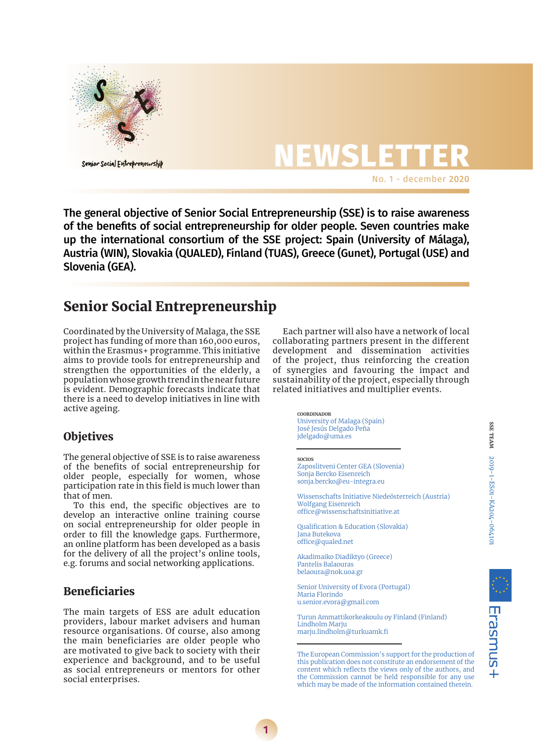

**NEWSLETTER** No. 1 - december 2020

The general objective of Senior Social Entrepreneurship (SSE) is to raise awareness of the benefits of social entrepreneurship for older people. Seven countries make up the international consortium of the SSE project: Spain (University of Málaga), Austria (WIN), Slovakia (QUALED), Finland (TUAS), Greece (Gunet), Portugal (USE) and Slovenia (GEA).

## Senior Social Entrepreneurship

Coordinated by the University of Malaga, the SSE project has funding of more than 160,000 euros, within the Erasmus+ programme. This initiative aims to provide tools for entrepreneurship and strengthen the opportunities of the elderly, a population whose growth trend in the near future is evident. Demographic forecasts indicate that there is a need to develop initiatives in line with active ageing.

## **Objetives**

The general objective of SSE is to raise awareness of the benefits of social entrepreneurship for older people, especially for women, whose participation rate in this field is much lower than that of men.

To this end, the specific objectives are to develop an interactive online training course on social entrepreneurship for older people in order to fill the knowledge gaps. Furthermore, an online platform has been developed as a basis for the delivery of all the project's online tools, e.g. forums and social networking applications.

## Beneficiaries

The main targets of ESS are adult education providers, labour market advisers and human resource organisations. Of course, also among the main beneficiaries are older people who are motivated to give back to society with their experience and background, and to be useful as social entrepreneurs or mentors for other social enterprises.

Each partner will also have a network of local collaborating partners present in the different development and dissemination activities of the project, thus reinforcing the creation of synergies and favouring the impact and sustainability of the project, especially through related initiatives and multiplier events.

> **coordinador** University of Malaga (Spain) José Jesús Delgado Peña jdelgado@uma.es

**socios**

**1**

Zaposlitveni Center GEA (Slovenia) Sonja Bercko Eisenreich sonja.bercko@eu-integra.eu

Wissenschafts Initiative Niedeösterreich (Austria) Wolfgang Eisenreich office@wissenschaftsinitiative.at

Qualification & Education (Slovakia) Jana Butekova office@qualed.net

Akadimaiko Diadiktyo (Greece) Pantelis Balaouras belaoura@nok.uoa.gr

Senior University of Evora (Portugal) Maria Florindo u.senior.evora@gmail.com

Turun Ammattikorkeakoulu oy Finland (Finland) Lindholm Marju marju.lindholm@turkuamk.fi

The European Commission's support for the production of this publication does not constitute an endorsement of the content which reflects the views only of the authors, and the Commission cannot be held responsible for any use which may be made of the information contained therein.

Erasmus+